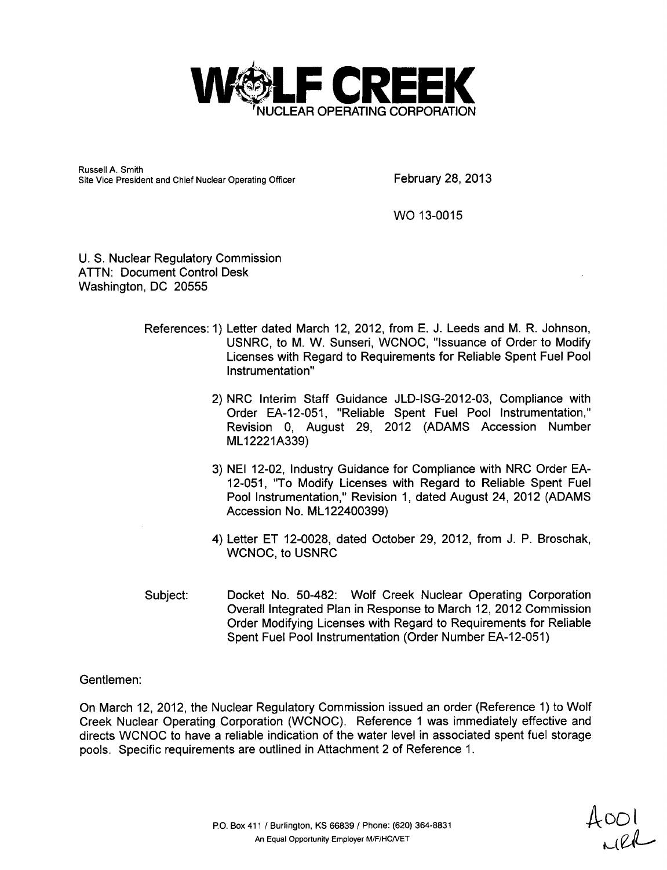

Russell A. Smith Site Vice President and Chief Nuclear Operating Officer February 28, 2013

WO 13-0015

U. S. Nuclear Regulatory Commission ATTN: Document Control Desk Washington, DC 20555

- References: 1) Letter dated March 12, 2012, from E. J. Leeds and M. R. Johnson, USNRC, to M. W. Sunseri, WCNOC, "Issuance of Order to Modify Licenses with Regard to Requirements for Reliable Spent Fuel Pool Instrumentation"
	- 2) NRC Interim Staff Guidance JLD-ISG-2012-03, Compliance with Order EA-12-051, "Reliable Spent Fuel Pool Instrumentation," Revision 0, August 29, 2012 (ADAMS Accession Number ML12221A339)
	- 3) NEI 12-02, Industry Guidance for Compliance with NRC Order EA-12-051, "To Modify Licenses with Regard to Reliable Spent Fuel Pool Instrumentation," Revision 1, dated August 24, 2012 (ADAMS Accession No. ML122400399)
	- 4) Letter ET 12-0028, dated October 29, 2012, from J. P. Broschak, WCNOC, to USNRC
- Subject: Docket No. 50-482: Wolf Creek Nuclear Operating Corporation Overall Integrated Plan in Response to March 12, 2012 Commission Order Modifying Licenses with Regard to Requirements for Reliable Spent Fuel Pool Instrumentation (Order Number EA-12-051)

#### Gentlemen:

On March 12, 2012, the Nuclear Regulatory Commission issued an order (Reference 1) to Wolf Creek Nuclear Operating Corporation (WCNOC). Reference 1 was immediately effective and directs WCNOC to have a reliable indication of the water level in associated spent fuel storage pools. Specific requirements are outlined in Attachment 2 of Reference 1.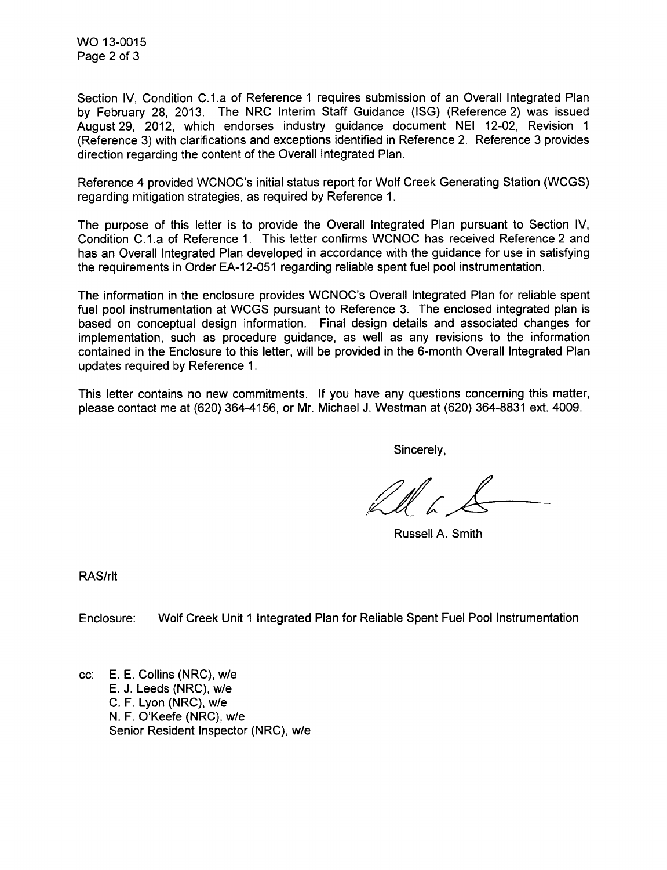WO 13-0015 Page 2 of 3

Section IV, Condition C.1.a of Reference 1 requires submission of an Overall Integrated Plan by February 28, 2013. The NRC Interim Staff Guidance (ISG) (Reference 2) was issued August 29, 2012, which endorses industry guidance document NEI 12-02, Revision 1 (Reference 3) with clarifications and exceptions identified in Reference 2. Reference 3 provides direction regarding the content of the Overall Integrated Plan.

Reference 4 provided WCNOC's initial status report for Wolf Creek Generating Station (WCGS) regarding mitigation strategies, as required by Reference 1.

The purpose of this letter is to provide the Overall Integrated Plan pursuant to Section IV, Condition C.1.a of Reference 1. This letter confirms WCNOC has received Reference 2 and has an Overall Integrated Plan developed in accordance with the guidance for use in satisfying the requirements in Order EA-12-051 regarding reliable spent fuel pool instrumentation.

The information in the enclosure provides WCNOC's Overall Integrated Plan for reliable spent fuel pool instrumentation at WCGS pursuant to Reference 3. The enclosed integrated plan is based on conceptual design information. Final design details and associated changes for implementation, such as procedure guidance, as well as any revisions to the information contained in the Enclosure to this letter, will be provided in the 6-month Overall Integrated Plan updates required by Reference 1.

This letter contains no new commitments. If you have any questions concerning this matter, please contact me at (620) 364-4156, or Mr. Michael J. Westman at (620) 364-8831 ext. 4009.

Sincerely,

Russell A. Smith

RAS/rlt

Enclosure: Wolf Creek Unit 1 Integrated Plan for Reliable Spent Fuel Pool Instrumentation

cc: E. E. Collins (NRC), w/e E. J. Leeds (NRC), w/e C. F. Lyon (NRC), w/e N. F. O'Keefe (NRC), w/e Senior Resident Inspector (NRC), w/e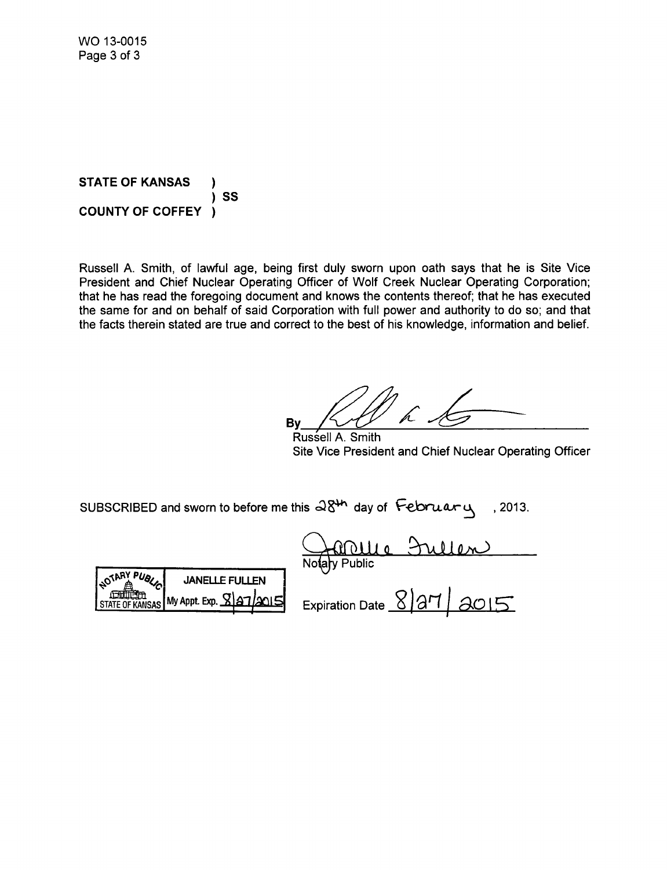**STATE** OF **KANSAS** ) **SS COUNTY** OF COFFEY )

Russell A. Smith, of lawful age, being first duly sworn upon oath says that he is Site Vice President and Chief Nuclear Operating Officer of Wolf Creek Nuclear Operating Corporation; that he has read the foregoing document and knows the contents thereof; that he has executed the same for and on behalf of said Corporation with full power and authority to do so; and that the facts therein stated are true and correct to the best of his knowledge, information and belief.

**By**  $P$ 

Russell **A.** Smith Site Vice President and Chief Nuclear Operating Officer

SUBSCRIBED and sworn to before me this  $\partial \delta^{\mu}$  day of  $\delta$ -- $\alpha$  , 2013.



No**t**aly Public **PfY 10 1~)**

STATE OF KANSAS My Appt. Exp.  $\frac{127}{2015}$  Expiration Date <u>X</u> 27 | 2015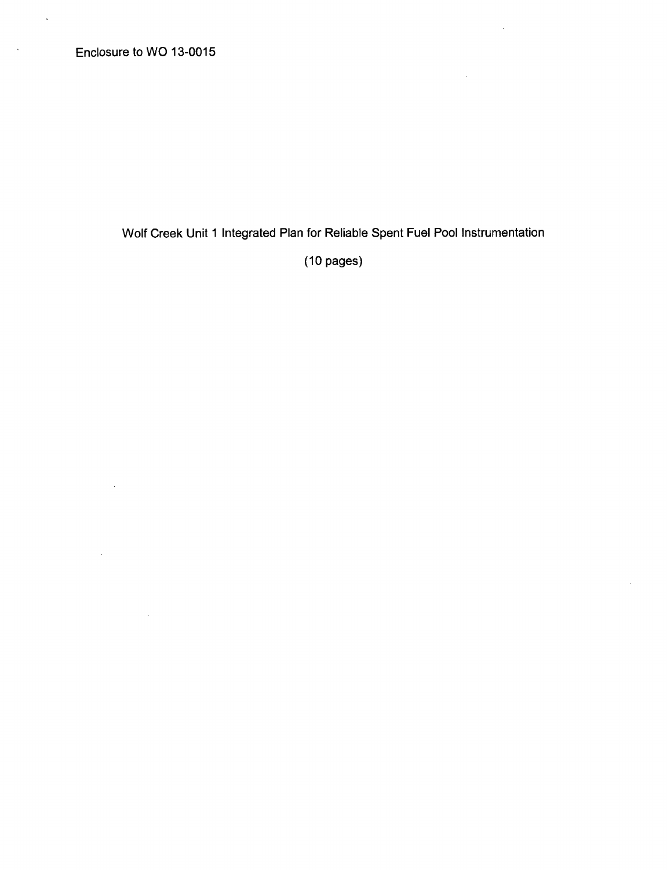$\sim 10^7$ 

 $\hat{\boldsymbol{\theta}}$ 

 $\sim$ 

 $\ddot{\phantom{a}}$ 

 $\bar{\beta}$ 

Wolf Creek Unit 1 Integrated Plan for Reliable Spent Fuel Pool Instrumentation

l.

 $\bar{z}$ 

(10 pages)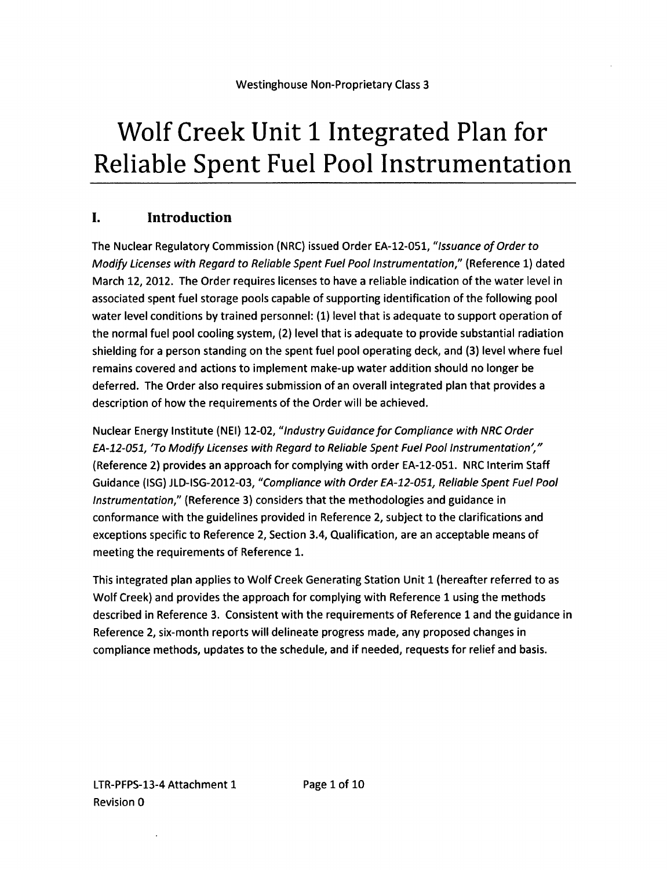# Wolf Creek Unit **1** Integrated Plan for Reliable Spent Fuel Pool Instrumentation

# **1.** Introduction

The Nuclear Regulatory Commission (NRC) issued Order EA-12-051, *"Issuance of Order to Modify Licenses with Regard to Reliable Spent Fuel Pool Instrumentation,"* (Reference 1) dated March 12, 2012. The Order requires licenses to have a reliable indication of the water level in associated spent fuel storage pools capable of supporting identification of the following pool water level conditions by trained personnel: (1) level that is adequate to support operation of the normal fuel pool cooling system, (2) level that is adequate to provide substantial radiation shielding for a person standing on the spent fuel pool operating deck, and (3) level where fuel remains covered and actions to implement make-up water addition should no longer be deferred. The Order also requires submission of an overall integrated plan that provides a description of how the requirements of the Order will be achieved.

Nuclear Energy Institute (NEI) 12-02, *"Industry Guidance for Compliance with NRC Order EA-12-051, "To Modify Licenses with Regard to Reliable* Spent *Fuel Pool Instrumentation',"* (Reference 2) provides an approach for complying with order EA-12-051. NRC Interim Staff Guidance (ISG) JLD-ISG-2012-03, *"Compliance with Order EA-12-051, Reliable Spent Fuel Pool Instrumentation,"* (Reference 3) considers that the methodologies and guidance in conformance with the guidelines provided in Reference 2, subject to the clarifications and exceptions specific to Reference 2, Section 3.4, Qualification, are an acceptable means of meeting the requirements of Reference 1.

This integrated plan applies to Wolf Creek Generating Station Unit 1 (hereafter referred to as Wolf Creek) and provides the approach for complying with Reference 1 using the methods described in Reference 3. Consistent with the requirements of Reference **1** and the guidance in Reference 2, six-month reports will delineate progress made, any proposed changes in compliance methods, updates to the schedule, and if needed, requests for relief and basis.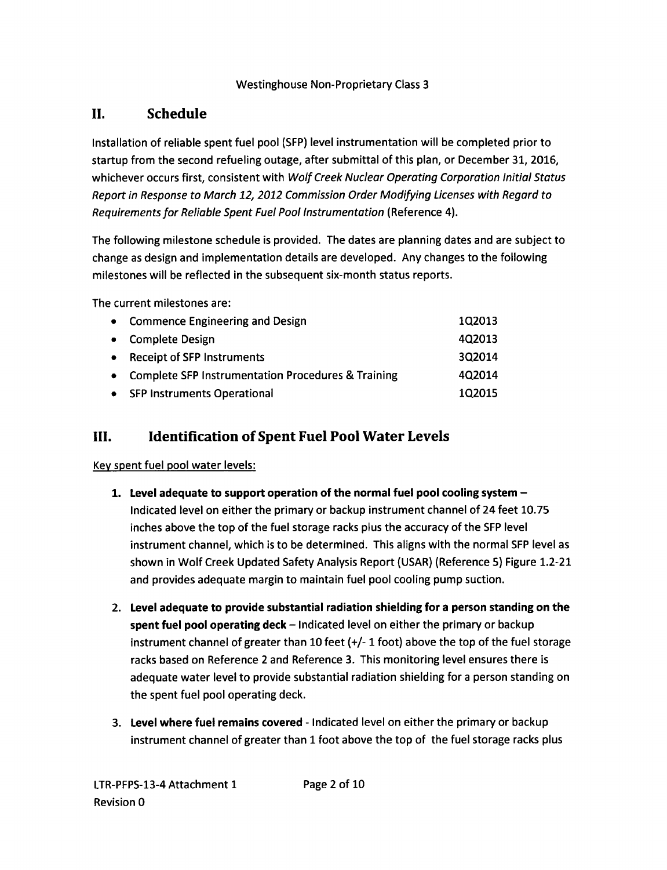# **I!.** Schedule

Installation of reliable spent fuel pool (SFP) level instrumentation will be completed prior to startup from the second refueling outage, after submittal of this plan, or December 31, 2016, whichever occurs first, consistent with *Wolf Creek Nuclear Operating Corporation Initial Status Report in Response to March 12, 2012 Commission Order Modifying Licenses with Regard to Requirements for Reliable Spent Fuel Pool Instrumentation* (Reference 4).

The following milestone schedule is provided. The dates are planning dates and are subject to change as design and implementation details are developed. Any changes to the following milestones will be reflected in the subsequent six-month status reports.

The current milestones are:

| • Commence Engineering and Design                    | 1Q2013 |
|------------------------------------------------------|--------|
| • Complete Design                                    | 4Q2013 |
| • Receipt of SFP Instruments                         | 3Q2014 |
| • Complete SFP Instrumentation Procedures & Training | 4Q2014 |
| • SFP Instruments Operational                        | 1Q2015 |

# **III.** Identification of Spent Fuel Pool Water Levels

#### Key spent fuel pool water levels:

- 1. Level adequate to support operation of the normal fuel pool cooling system Indicated level on either the primary or backup instrument channel of 24 feet 10.75 inches above the top of the fuel storage racks plus the accuracy of the SFP level instrument channel, which is to be determined. This aligns with the normal SFP level as shown in Wolf Creek Updated Safety Analysis Report (USAR) (Reference 5) Figure 1.2-21 and provides adequate margin to maintain fuel pool cooling pump suction.
- 2. Level adequate to provide substantial radiation shielding for a person standing on the spent fuel pool operating deck - Indicated level on either the primary or backup instrument channel of greater than 10 feet (+/- **1** foot) above the top of the fuel storage racks based on Reference 2 and Reference 3. This monitoring level ensures there is adequate water level to provide substantial radiation shielding for a person standing on the spent fuel pool operating deck.
- **3.** Level where fuel remains covered Indicated level on either the primary or backup instrument channel of greater than **1** foot above the top of the fuel storage racks plus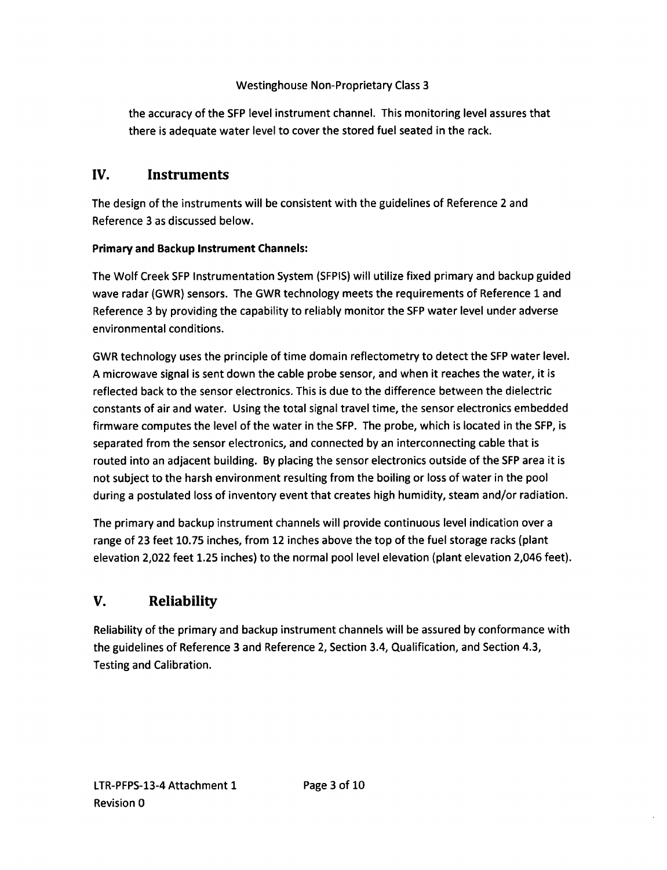the accuracy of the SFP level instrument channel. This monitoring level assures that there is adequate water level to cover the stored fuel seated in the rack.

## **IV.** Instruments

The design of the instruments will be consistent with the guidelines of Reference 2 and Reference 3 as discussed below.

#### Primary and Backup Instrument Channels:

The Wolf Creek SFP Instrumentation System (SFPIS) will utilize fixed primary and backup guided wave radar (GWR) sensors. The GWR technology meets the requirements of Reference 1 and Reference 3 by providing the capability to reliably monitor the SFP water level under adverse environmental conditions.

GWR technology uses the principle of time domain reflectometry to detect the SFP water level. A microwave signal is sent down the cable probe sensor, and when it reaches the water, it is reflected back to the sensor electronics. This is due to the difference between the dielectric constants of air and water. Using the total signal travel time, the sensor electronics embedded firmware computes the level of the water in the SFP. The probe, which is located in the SFP, is separated from the sensor electronics, and connected by an interconnecting cable that is routed into an adjacent building. By placing the sensor electronics outside of the SFP area it is not subject to the harsh environment resulting from the boiling or loss of water in the pool during a postulated loss of inventory event that creates high humidity, steam and/or radiation.

The primary and backup instrument channels will provide continuous level indication over a range of 23 feet 10.75 inches, from 12 inches above the top of the fuel storage racks (plant elevation 2,022 feet 1.25 inches) to the normal pool level elevation (plant elevation 2,046 feet).

# **V.** Reliability

Reliability of the primary and backup instrument channels will be assured by conformance with the guidelines of Reference 3 and Reference 2, Section 3.4, Qualification, and Section 4.3, Testing and Calibration.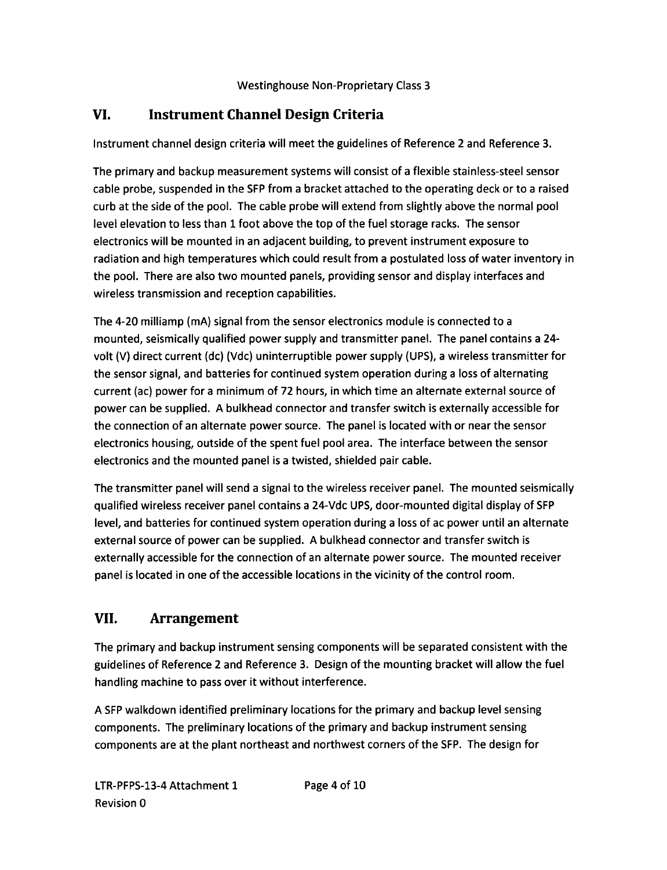# **VI.** Instrument Channel Design Criteria

Instrument channel design criteria will meet the guidelines of Reference 2 and Reference 3.

The primary and backup measurement systems will consist of a flexible stainless-steel sensor cable probe, suspended in the SFP from a bracket attached to the operating deck or to a raised curb at the side of the pool. The cable probe will extend from slightly above the normal pool level elevation to less than **1** foot above the top of the fuel storage racks. The sensor electronics will be mounted in an adjacent building, to prevent instrument exposure to radiation and high temperatures which could result from a postulated loss of water inventory in the pool. There are also two mounted panels, providing sensor and display interfaces and wireless transmission and reception capabilities.

The 4-20 milliamp (mA) signal from the sensor electronics module is connected to a mounted, seismically qualified power supply and transmitter panel. The panel contains a 24 volt (V) direct current (dc) (Vdc) uninterruptible power supply (UPS), a wireless transmitter for the sensor signal, and batteries for continued system operation during a loss of alternating current (ac) power for a minimum of 72 hours, in which time an alternate external source of power can be supplied. A bulkhead connector and transfer switch is externally accessible for the connection of an alternate power source. The panel is located with or near the sensor electronics housing, outside of the spent fuel pool area. The interface between the sensor electronics and the mounted panel is a twisted, shielded pair cable.

The transmitter panel will send a signal to the wireless receiver panel. The mounted seismically qualified wireless receiver panel contains a 24-Vdc UPS, door-mounted digital display of **SFP** level, and batteries for continued system operation during a loss of ac power until an alternate external source of power can be supplied. A bulkhead connector and transfer switch is externally accessible for the connection of an alternate power source. The mounted receiver panel is located in one of the accessible locations in the vicinity of the control room.

# **VII.** Arrangement

The primary and backup instrument sensing components will be separated consistent with the guidelines of Reference 2 and Reference 3. Design of the mounting bracket will allow the fuel handling machine to pass over it without interference.

A **SFP** walkdown identified preliminary locations for the primary and backup level sensing components. The preliminary locations of the primary and backup instrument sensing components are at the plant northeast and northwest corners of the SFP. The design for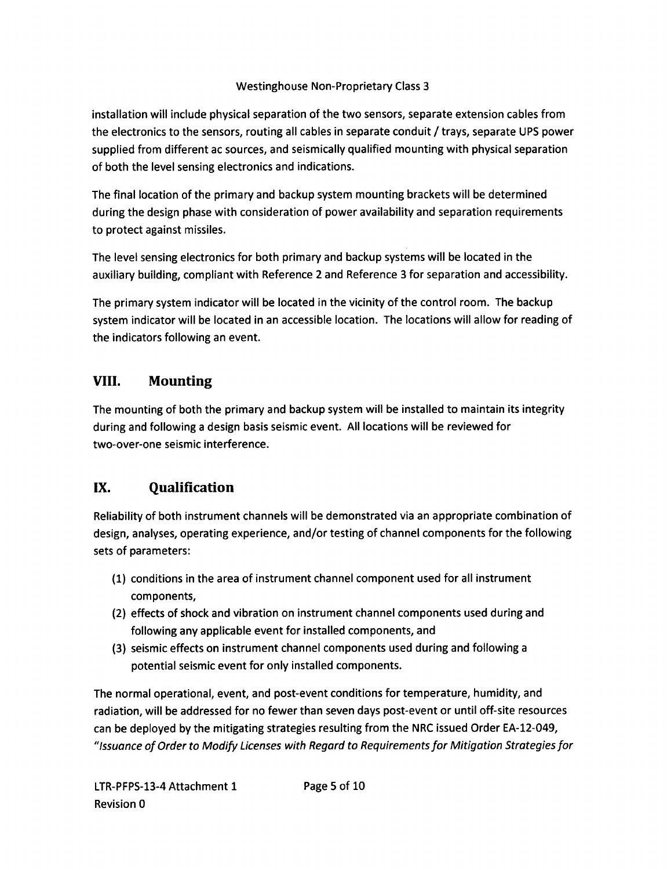installation will include physical separation of the two sensors, separate extension cables from the electronics to the sensors, routing all cables in separate conduit / trays, separate UPS power supplied from different ac sources, and seismically qualified mounting with physical separation of both the level sensing electronics and indications.

The final location of the primary and backup system mounting brackets will be determined during the design phase with consideration of power availability and separation requirements to protect against missiles.

The level sensing electronics for both primary and backup systems will be located in the auxiliary building, compliant with Reference 2 and Reference 3 for separation and accessibility.

The primary system indicator will be located in the vicinity of the control room. The backup system indicator will be located in an accessible location. The locations will allow for reading of the indicators following an event.

## **VIII.** Mounting

The mounting of both the primary and backup system will be installed to maintain its integrity during and following a design basis seismic event. All locations will be reviewed for two-over-one seismic interference.

# **IX.** Qualification

Reliability of both instrument channels will be demonstrated via an appropriate combination of design, analyses, operating experience, and/or testing of channel components for the following sets of parameters:

- (1) conditions in the area of instrument channel component used for all instrument components,
- (2) effects of shock and vibration on instrument channel components used during and following any applicable event for installed components, and
- (3) seismic effects on instrument channel components used during and following a potential seismic event for only installed components.

The normal operational, event, and post-event conditions for temperature, humidity, and radiation, will be addressed for no fewer than seven days post-event or until off-site resources can be deployed by the mitigating strategies resulting from the NRC issued Order EA-12-049, *"Issuance of Order to Modify Licenses with Regard to Requirements for Mitigation Strategies for*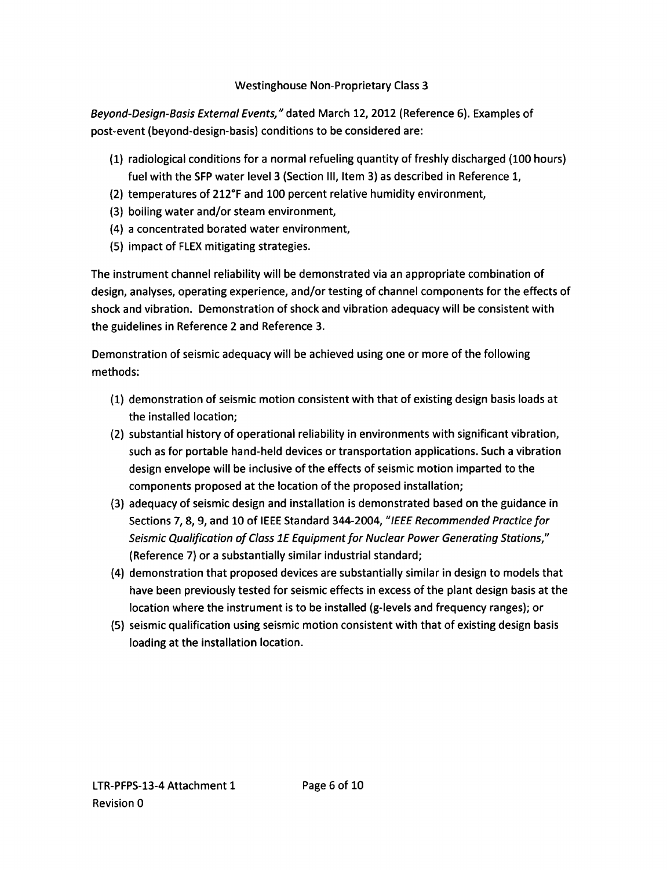*Beyond-Design-Basis External Events,"* dated March 12, 2012 (Reference 6). Examples of post-event (beyond-design-basis) conditions to be considered are:

- (1) radiological conditions for a normal refueling quantity of freshly discharged (100 hours) fuel with the SFP water level 3 (Section III, Item 3) as described in Reference 1,
- (2) temperatures of 212°F and 100 percent relative humidity environment,
- (3) boiling water and/or steam environment,
- (4) a concentrated borated water environment,
- (5) impact of FLEX mitigating strategies.

The instrument channel reliability will be demonstrated via an appropriate combination of design, analyses, operating experience, and/or testing of channel components for the effects of shock and vibration. Demonstration of shock and vibration adequacy will be consistent with the guidelines in Reference 2 and Reference 3.

Demonstration of seismic adequacy will be achieved using one or more of the following methods:

- (1) demonstration of seismic motion consistent with that of existing design basis loads at the installed location;
- (2) substantial history of operational reliability in environments with significant vibration, such as for portable hand-held devices or transportation applications. Such a vibration design envelope will be inclusive of the effects of seismic motion imparted to the components proposed at the location of the proposed installation;
- (3) adequacy of seismic design and installation is demonstrated based on the guidance in Sections 7, 8, 9, and 10 of IEEE Standard 344-2004, *"IEEE Recommended Practice for Seismic Qualification of Class 1E Equipment for Nuclear Power Generating Stations,"* (Reference 7) or a substantially similar industrial standard;
- (4) demonstration that proposed devices are substantially similar in design to models that have been previously tested for seismic effects in excess of the plant design basis at the location where the instrument is to be installed (g-levels and frequency ranges); or
- (5) seismic qualification using seismic motion consistent with that of existing design basis loading at the installation location.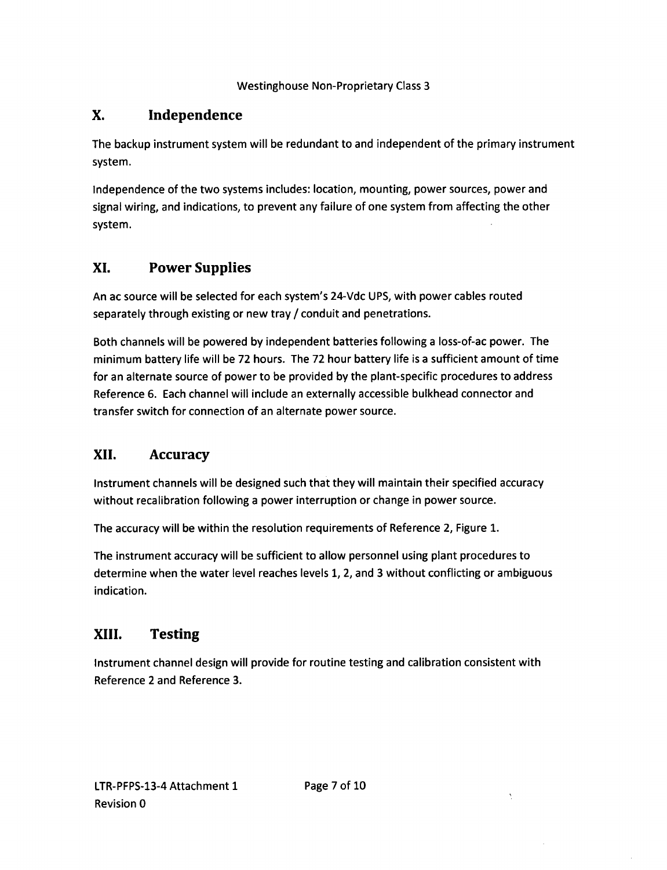# **X.** Independence

The backup instrument system will be redundant to and independent of the primary instrument system.

Independence of the two systems includes: location, mounting, power sources, power and signal wiring, and indications, to prevent any failure of one system from affecting the other system.

# **XI.** Power Supplies

An ac source will be selected for each system's 24-Vdc UPS, with power cables routed separately through existing or new tray / conduit and penetrations.

Both channels will be powered by independent batteries following a loss-of-ac power. The minimum battery life will be 72 hours. The 72 hour battery life is a sufficient amount of time for an alternate source of power to be provided by the plant-specific procedures to address Reference 6. Each channel will include an externally accessible bulkhead connector and transfer switch for connection of an alternate power source.

# **XII.** Accuracy

Instrument channels will be designed such that they will maintain their specified accuracy without recalibration following a power interruption or change in power source.

The accuracy will be within the resolution requirements of Reference 2, Figure 1.

The instrument accuracy will be sufficient to allow personnel using plant procedures to determine when the water level reaches levels 1, 2, and 3 without conflicting or ambiguous indication.

# XIII. Testing

Instrument channel design will provide for routine testing and calibration consistent with Reference 2 and Reference 3.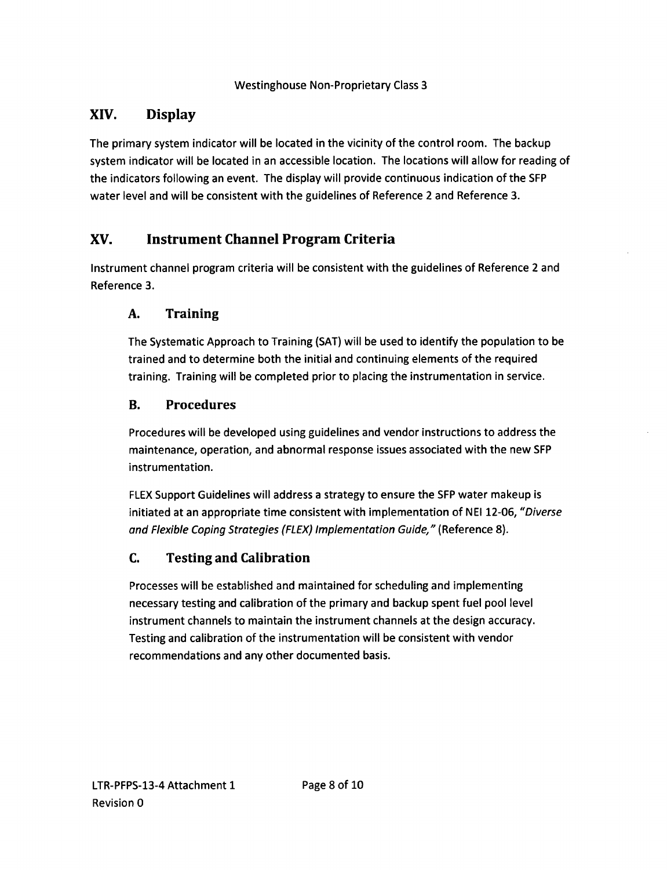# **XIV.** Display

The primary system indicator will be located in the vicinity of the control room. The backup system indicator will be located in an accessible location. The locations will allow for reading of the indicators following an event. The display will provide continuous indication of the SFP water level and will be consistent with the guidelines of Reference 2 and Reference 3.

# **XV.** Instrument Channel Program Criteria

Instrument channel program criteria will be consistent with the guidelines of Reference 2 and Reference 3.

## **A.** Training

The Systematic Approach to Training (SAT) will be used to identify the population to be trained and to determine both the initial and continuing elements of the required training. Training will be completed prior to placing the instrumentation in service.

## B. Procedures

Procedures will be developed using guidelines and vendor instructions to address the maintenance, operation, and abnormal response issues associated with the new SFP instrumentation.

FLEX Support Guidelines will address a strategy to ensure the SFP water makeup is initiated at an appropriate time consistent with implementation of NEI 12-06, *"Diverse and Flexible Coping Strategies (FLEX) Implementation Guide,"* (Reference 8).

## C. Testing and Calibration

Processes will be established and maintained for scheduling and implementing necessary testing and calibration of the primary and backup spent fuel pool level instrument channels to maintain the instrument channels at the design accuracy. Testing and calibration of the instrumentation will be consistent with vendor recommendations and any other documented basis.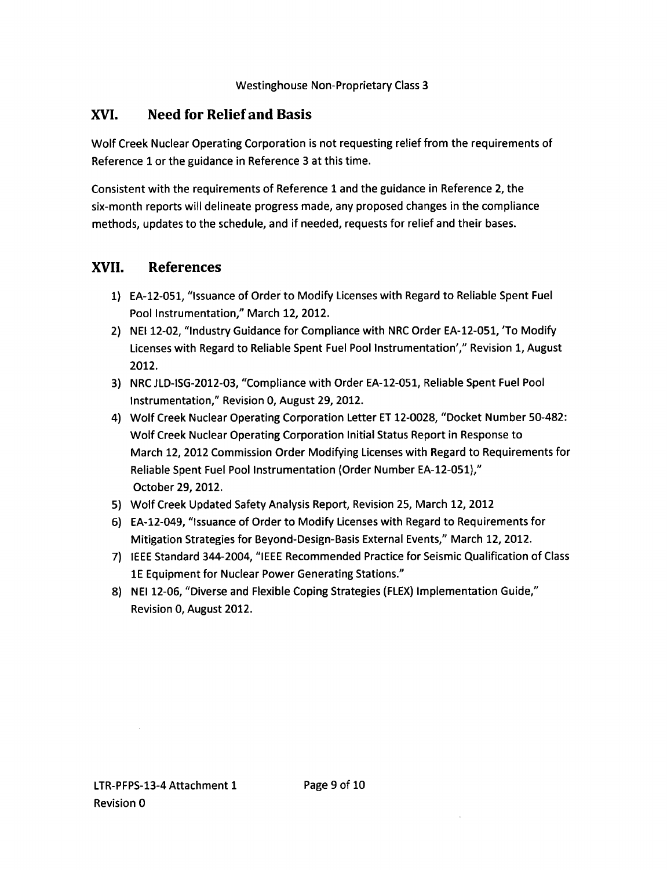## **XVI.** Need for Relief and Basis

Wolf Creek Nuclear Operating Corporation is not requesting relief from the requirements of Reference **1** or the guidance in Reference 3 at this time.

Consistent with the requirements of Reference **I** and the guidance in Reference 2, the six-month reports will delineate progress made, any proposed changes in the compliance methods, updates to the schedule, and if needed, requests for relief and their bases.

## **XVII.** References

- 1) EA-12-051, "Issuance of Order to Modify Licenses with Regard to Reliable Spent Fuel Pool Instrumentation," March 12, 2012.
- 2) NEI 12-02, "Industry Guidance for Compliance with NRC Order EA-12-051, 'To Modify Licenses with Regard to Reliable Spent Fuel Pool Instrumentation'," Revision 1, August 2012.
- 3) NRC JLD-ISG-2012-03, "Compliance with Order EA-12-051, Reliable Spent Fuel Pool Instrumentation," Revision **0,** August 29, 2012.
- 4) Wolf Creek Nuclear Operating Corporation Letter ET 12-0028, "Docket Number 50-482: Wolf Creek Nuclear Operating Corporation Initial Status Report in Response to March 12, 2012 Commission Order Modifying Licenses with Regard to Requirements for Reliable Spent Fuel Pool Instrumentation (Order Number EA-12-051)," October 29, 2012.
- 5) Wolf Creek Updated Safety Analysis Report, Revision 25, March 12, 2012
- 6) EA-12-049, "Issuance of Order to Modify Licenses with Regard to Requirements for Mitigation Strategies for Beyond-Design-Basis External Events," March 12, 2012.
- 7) IEEE Standard 344-2004, "IEEE Recommended Practice for Seismic Qualification of Class **1E** Equipment for Nuclear Power Generating Stations."
- **8)** NEI 12-06, "Diverse and Flexible Coping Strategies (FLEX) Implementation Guide," Revision **0,** August 2012.